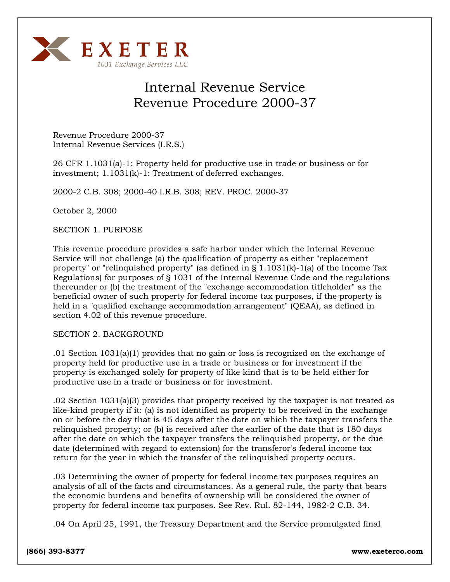

# Internal Revenue Service Revenue Procedure 2000-37

Revenue Procedure 2000-37 Internal Revenue Services (I.R.S.)

26 CFR 1.1031(a)-1: Property held for productive use in trade or business or for investment; 1.1031(k)-1: Treatment of deferred exchanges.

2000-2 C.B. 308; 2000-40 I.R.B. 308; REV. PROC. 2000-37

October 2, 2000

SECTION 1. PURPOSE

This revenue procedure provides a safe harbor under which the Internal Revenue Service will not challenge (a) the qualification of property as either "replacement property" or "relinquished property" (as defined in § 1.1031(k)-1(a) of the Income Tax Regulations) for purposes of § 1031 of the Internal Revenue Code and the regulations thereunder or (b) the treatment of the "exchange accommodation titleholder" as the beneficial owner of such property for federal income tax purposes, if the property is held in a "qualified exchange accommodation arrangement" (QEAA), as defined in section 4.02 of this revenue procedure.

### SECTION 2. BACKGROUND

.01 Section 1031(a)(1) provides that no gain or loss is recognized on the exchange of property held for productive use in a trade or business or for investment if the property is exchanged solely for property of like kind that is to be held either for productive use in a trade or business or for investment.

.02 Section 1031(a)(3) provides that property received by the taxpayer is not treated as like-kind property if it: (a) is not identified as property to be received in the exchange on or before the day that is 45 days after the date on which the taxpayer transfers the relinquished property; or (b) is received after the earlier of the date that is 180 days after the date on which the taxpayer transfers the relinquished property, or the due date (determined with regard to extension) for the transferor's federal income tax return for the year in which the transfer of the relinquished property occurs.

.03 Determining the owner of property for federal income tax purposes requires an analysis of all of the facts and circumstances. As a general rule, the party that bears the economic burdens and benefits of ownership will be considered the owner of property for federal income tax purposes. See Rev. Rul. 82-144, 1982-2 C.B. 34.

.04 On April 25, 1991, the Treasury Department and the Service promulgated final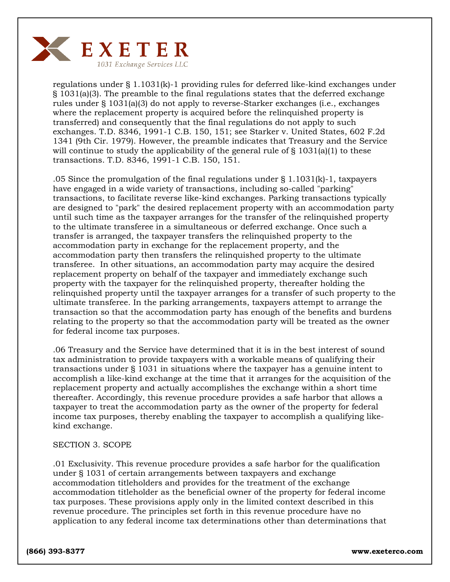

regulations under § 1.1031(k)-1 providing rules for deferred like-kind exchanges under § 1031(a)(3). The preamble to the final regulations states that the deferred exchange rules under § 1031(a)(3) do not apply to reverse-Starker exchanges (i.e., exchanges where the replacement property is acquired before the relinquished property is transferred) and consequently that the final regulations do not apply to such exchanges. T.D. 8346, 1991-1 C.B. 150, 151; see Starker v. United States, 602 F.2d 1341 (9th Cir. 1979). However, the preamble indicates that Treasury and the Service will continue to study the applicability of the general rule of  $\S$  1031(a)(1) to these transactions. T.D. 8346, 1991-1 C.B. 150, 151.

.05 Since the promulgation of the final regulations under  $\S 1.1031(k)$ -1, taxpayers have engaged in a wide variety of transactions, including so-called "parking" transactions, to facilitate reverse like-kind exchanges. Parking transactions typically are designed to "park" the desired replacement property with an accommodation party until such time as the taxpayer arranges for the transfer of the relinquished property to the ultimate transferee in a simultaneous or deferred exchange. Once such a transfer is arranged, the taxpayer transfers the relinquished property to the accommodation party in exchange for the replacement property, and the accommodation party then transfers the relinquished property to the ultimate transferee. In other situations, an accommodation party may acquire the desired replacement property on behalf of the taxpayer and immediately exchange such property with the taxpayer for the relinquished property, thereafter holding the relinquished property until the taxpayer arranges for a transfer of such property to the ultimate transferee. In the parking arrangements, taxpayers attempt to arrange the transaction so that the accommodation party has enough of the benefits and burdens relating to the property so that the accommodation party will be treated as the owner for federal income tax purposes.

.06 Treasury and the Service have determined that it is in the best interest of sound tax administration to provide taxpayers with a workable means of qualifying their transactions under § 1031 in situations where the taxpayer has a genuine intent to accomplish a like-kind exchange at the time that it arranges for the acquisition of the replacement property and actually accomplishes the exchange within a short time thereafter. Accordingly, this revenue procedure provides a safe harbor that allows a taxpayer to treat the accommodation party as the owner of the property for federal income tax purposes, thereby enabling the taxpayer to accomplish a qualifying likekind exchange.

### SECTION 3. SCOPE

.01 Exclusivity. This revenue procedure provides a safe harbor for the qualification under § 1031 of certain arrangements between taxpayers and exchange accommodation titleholders and provides for the treatment of the exchange accommodation titleholder as the beneficial owner of the property for federal income tax purposes. These provisions apply only in the limited context described in this revenue procedure. The principles set forth in this revenue procedure have no application to any federal income tax determinations other than determinations that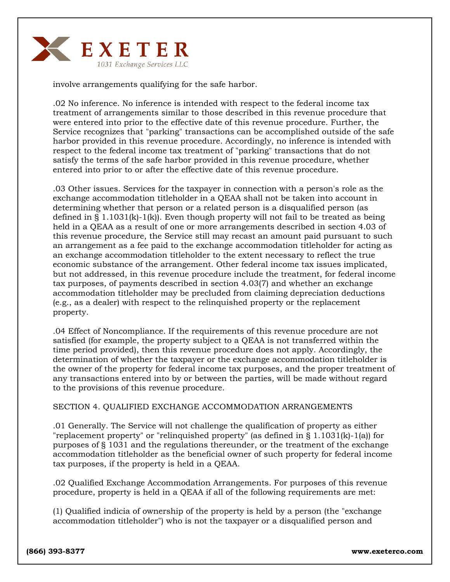

involve arrangements qualifying for the safe harbor.

.02 No inference. No inference is intended with respect to the federal income tax treatment of arrangements similar to those described in this revenue procedure that were entered into prior to the effective date of this revenue procedure. Further, the Service recognizes that "parking" transactions can be accomplished outside of the safe harbor provided in this revenue procedure. Accordingly, no inference is intended with respect to the federal income tax treatment of "parking" transactions that do not satisfy the terms of the safe harbor provided in this revenue procedure, whether entered into prior to or after the effective date of this revenue procedure.

.03 Other issues. Services for the taxpayer in connection with a person's role as the exchange accommodation titleholder in a QEAA shall not be taken into account in determining whether that person or a related person is a disqualified person (as defined in § 1.1031(k)-1(k)). Even though property will not fail to be treated as being held in a QEAA as a result of one or more arrangements described in section 4.03 of this revenue procedure, the Service still may recast an amount paid pursuant to such an arrangement as a fee paid to the exchange accommodation titleholder for acting as an exchange accommodation titleholder to the extent necessary to reflect the true economic substance of the arrangement. Other federal income tax issues implicated, but not addressed, in this revenue procedure include the treatment, for federal income tax purposes, of payments described in section 4.03(7) and whether an exchange accommodation titleholder may be precluded from claiming depreciation deductions (e.g., as a dealer) with respect to the relinquished property or the replacement property.

.04 Effect of Noncompliance. If the requirements of this revenue procedure are not satisfied (for example, the property subject to a QEAA is not transferred within the time period provided), then this revenue procedure does not apply. Accordingly, the determination of whether the taxpayer or the exchange accommodation titleholder is the owner of the property for federal income tax purposes, and the proper treatment of any transactions entered into by or between the parties, will be made without regard to the provisions of this revenue procedure.

### SECTION 4. QUALIFIED EXCHANGE ACCOMMODATION ARRANGEMENTS

.01 Generally. The Service will not challenge the qualification of property as either "replacement property" or "relinquished property" (as defined in § 1.1031(k)-1(a)) for purposes of § 1031 and the regulations thereunder, or the treatment of the exchange accommodation titleholder as the beneficial owner of such property for federal income tax purposes, if the property is held in a QEAA.

.02 Qualified Exchange Accommodation Arrangements. For purposes of this revenue procedure, property is held in a QEAA if all of the following requirements are met:

(1) Qualified indicia of ownership of the property is held by a person (the "exchange accommodation titleholder") who is not the taxpayer or a disqualified person and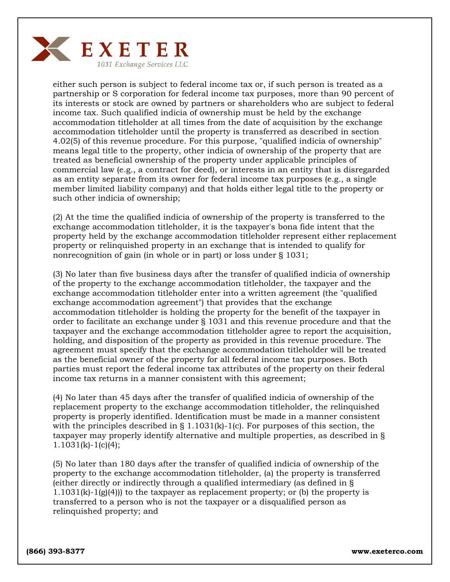

either such person is subject to federal income tax or, if such person is treated as a partnership or S corporation for federal income tax purposes, more than 90 percent of its interests or stock are owned by partners or shareholders who are subject to federal income tax. Such qualified indicia of ownership must be held by the exchange accommodation titleholder at all times from the date of acquisition by the exchange accommodation titleholder until the property is transferred as described in section 4.02(5) of this revenue procedure. For this purpose, "qualified indicia of ownership" means legal title to the property, other indicia of ownership of the property that are treated as beneficial ownership of the property under applicable principles of commercial law (e.g., a contract for deed), or interests in an entity that is disregarded as an entity separate from its owner for federal income tax purposes (e.g., a single member limited liability company) and that holds either legal title to the property or such other indicia of ownership;

(2) At the time the qualified indicia of ownership of the property is transferred to the exchange accommodation titleholder, it is the taxpayer's bona fide intent that the property held by the exchange accommodation titleholder represent either replacement property or relinquished property in an exchange that is intended to qualify for nonrecognition of gain (in whole or in part) or loss under § 1031;

(3) No later than five business days after the transfer of qualified indicia of ownership of the property to the exchange accommodation titleholder, the taxpayer and the exchange accommodation titleholder enter into a written agreement (the "qualified exchange accommodation agreement") that provides that the exchange accommodation titleholder is holding the property for the benefit of the taxpayer in order to facilitate an exchange under § 1031 and this revenue procedure and that the taxpayer and the exchange accommodation titleholder agree to report the acquisition, holding, and disposition of the property as provided in this revenue procedure. The agreement must specify that the exchange accommodation titleholder will be treated as the beneficial owner of the property for all federal income tax purposes. Both parties must report the federal income tax attributes of the property on their federal income tax returns in a manner consistent with this agreement;

(4) No later than 45 days after the transfer of qualified indicia of ownership of the replacement property to the exchange accommodation titleholder, the relinquished property is properly identified. Identification must be made in a manner consistent with the principles described in  $\S 1.1031(k)-1(c)$ . For purposes of this section, the taxpayer may properly identify alternative and multiple properties, as described in §  $1.1031(k)-1(c)(4);$ 

(5) No later than 180 days after the transfer of qualified indicia of ownership of the property to the exchange accommodation titleholder, (a) the property is transferred (either directly or indirectly through a qualified intermediary (as defined in §  $1.1031(k)-1(g(4))$  to the taxpayer as replacement property; or (b) the property is transferred to a person who is not the taxpayer or a disqualified person as relinquished property; and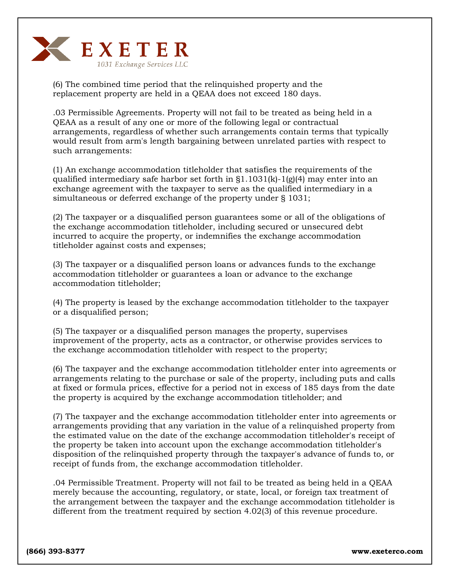

(6) The combined time period that the relinquished property and the replacement property are held in a QEAA does not exceed 180 days.

.03 Permissible Agreements. Property will not fail to be treated as being held in a QEAA as a result of any one or more of the following legal or contractual arrangements, regardless of whether such arrangements contain terms that typically would result from arm's length bargaining between unrelated parties with respect to such arrangements:

(1) An exchange accommodation titleholder that satisfies the requirements of the qualified intermediary safe harbor set forth in  $\S1.1031(k)-1\mathrm{(g)}(4)$  may enter into an exchange agreement with the taxpayer to serve as the qualified intermediary in a simultaneous or deferred exchange of the property under § 1031;

(2) The taxpayer or a disqualified person guarantees some or all of the obligations of the exchange accommodation titleholder, including secured or unsecured debt incurred to acquire the property, or indemnifies the exchange accommodation titleholder against costs and expenses;

(3) The taxpayer or a disqualified person loans or advances funds to the exchange accommodation titleholder or guarantees a loan or advance to the exchange accommodation titleholder;

(4) The property is leased by the exchange accommodation titleholder to the taxpayer or a disqualified person;

(5) The taxpayer or a disqualified person manages the property, supervises improvement of the property, acts as a contractor, or otherwise provides services to the exchange accommodation titleholder with respect to the property;

(6) The taxpayer and the exchange accommodation titleholder enter into agreements or arrangements relating to the purchase or sale of the property, including puts and calls at fixed or formula prices, effective for a period not in excess of 185 days from the date the property is acquired by the exchange accommodation titleholder; and

(7) The taxpayer and the exchange accommodation titleholder enter into agreements or arrangements providing that any variation in the value of a relinquished property from the estimated value on the date of the exchange accommodation titleholder's receipt of the property be taken into account upon the exchange accommodation titleholder's disposition of the relinquished property through the taxpayer's advance of funds to, or receipt of funds from, the exchange accommodation titleholder.

.04 Permissible Treatment. Property will not fail to be treated as being held in a QEAA merely because the accounting, regulatory, or state, local, or foreign tax treatment of the arrangement between the taxpayer and the exchange accommodation titleholder is different from the treatment required by section 4.02(3) of this revenue procedure.